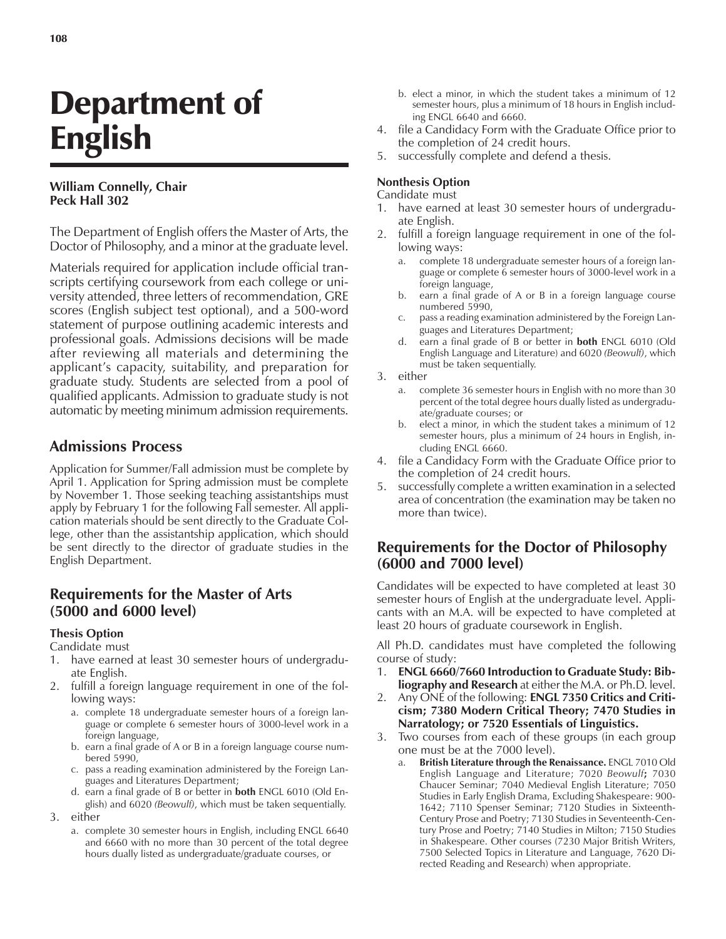# Department of English

### **William Connelly, Chair Peck Hall 302**

The Department of English offers the Master of Arts, the Doctor of Philosophy, and a minor at the graduate level.

Materials required for application include official transcripts certifying coursework from each college or university attended, three letters of recommendation, GRE scores (English subject test optional), and a 500-word statement of purpose outlining academic interests and professional goals. Admissions decisions will be made after reviewing all materials and determining the applicant's capacity, suitability, and preparation for graduate study. Students are selected from a pool of qualified applicants. Admission to graduate study is not automatic by meeting minimum admission requirements.

## **Admissions Process**

Application for Summer/Fall admission must be complete by April 1. Application for Spring admission must be complete by November 1. Those seeking teaching assistantships must apply by February 1 for the following Fall semester. All application materials should be sent directly to the Graduate College, other than the assistantship application, which should be sent directly to the director of graduate studies in the English Department.

## **Requirements for the Master of Arts (5000 and 6000 level)**

#### **Thesis Option**

Candidate must

- 1. have earned at least 30 semester hours of undergraduate English.
- 2. fulfill a foreign language requirement in one of the following ways:
	- a. complete 18 undergraduate semester hours of a foreign language or complete 6 semester hours of 3000-level work in a foreign language,
	- b. earn a final grade of A or B in a foreign language course numbered 5990,
	- c. pass a reading examination administered by the Foreign Languages and Literatures Department;
	- d. earn a final grade of B or better in **both** ENGL 6010 (Old English) and 6020 *(Beowulf)*, which must be taken sequentially.
- 3. either
	- a. complete 30 semester hours in English, including ENGL 6640 and 6660 with no more than 30 percent of the total degree hours dually listed as undergraduate/graduate courses, or
- b. elect a minor, in which the student takes a minimum of 12 semester hours, plus a minimum of 18 hours in English including ENGL 6640 and 6660.
- 4. file a Candidacy Form with the Graduate Office prior to the completion of 24 credit hours.
- 5. successfully complete and defend a thesis.

#### **Nonthesis Option**

Candidate must

- 1. have earned at least 30 semester hours of undergraduate English.
- 2. fulfill a foreign language requirement in one of the following ways:
	- complete 18 undergraduate semester hours of a foreign language or complete 6 semester hours of 3000-level work in a foreign language,
	- b. earn a final grade of A or B in a foreign language course numbered 5990,
	- c. pass a reading examination administered by the Foreign Languages and Literatures Department;
	- d. earn a final grade of B or better in **both** ENGL 6010 (Old English Language and Literature) and 6020 *(Beowulf)*, which must be taken sequentially.
- 3. either
	- a. complete 36 semester hours in English with no more than 30 percent of the total degree hours dually listed as undergraduate/graduate courses; or
	- b. elect a minor, in which the student takes a minimum of 12 semester hours, plus a minimum of 24 hours in English, including ENGL 6660.
- 4. file a Candidacy Form with the Graduate Office prior to the completion of 24 credit hours.
- 5. successfully complete a written examination in a selected area of concentration (the examination may be taken no more than twice).

## **Requirements for the Doctor of Philosophy (6000 and 7000 level)**

Candidates will be expected to have completed at least 30 semester hours of English at the undergraduate level. Applicants with an M.A. will be expected to have completed at least 20 hours of graduate coursework in English.

All Ph.D. candidates must have completed the following course of study:

- 1. **ENGL 6660/7660 Introduction to Graduate Study: Bibliography and Research** at either the M.A. or Ph.D. level.
- 2. Any ONE of the following: **ENGL 7350 Critics and Criticism; 7380 Modern Critical Theory; 7470 Studies in Narratology; or 7520 Essentials of Linguistics.**
- 3. Two courses from each of these groups (in each group one must be at the 7000 level).
	- British Literature through the Renaissance. **ENGL 7010 Old** English Language and Literature; 7020 *Beowulf***;** 7030 Chaucer Seminar; 7040 Medieval English Literature; 7050 Studies in Early English Drama, Excluding Shakespeare: 900- 1642; 7110 Spenser Seminar; 7120 Studies in Sixteenth-Century Prose and Poetry; 7130 Studies in Seventeenth-Century Prose and Poetry; 7140 Studies in Milton; 7150 Studies in Shakespeare. Other courses (7230 Major British Writers, 7500 Selected Topics in Literature and Language, 7620 Directed Reading and Research) when appropriate.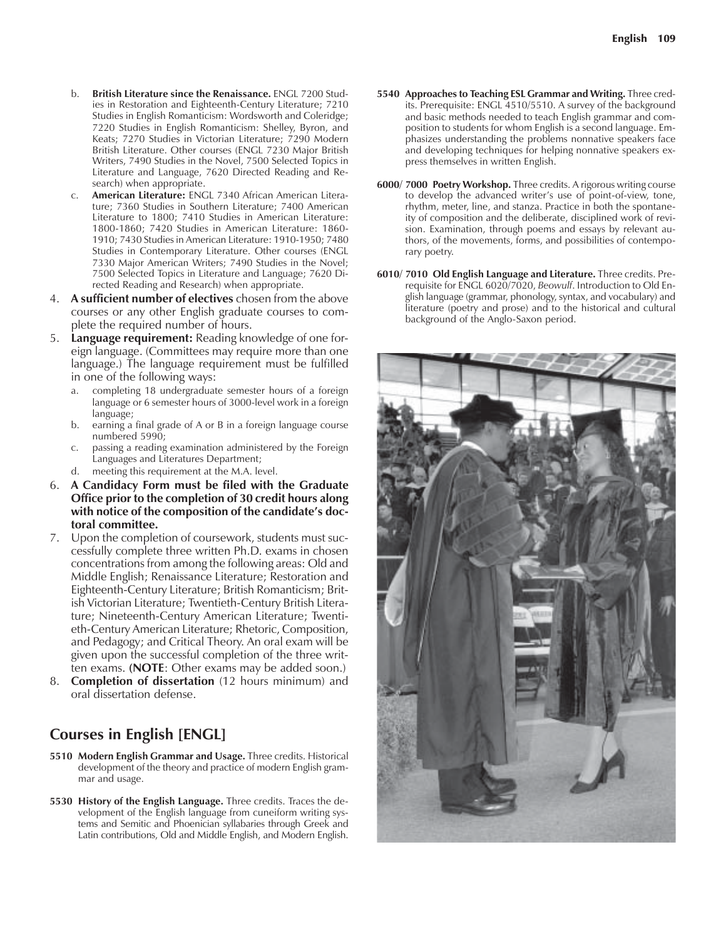- b. **British Literature since the Renaissance.** ENGL 7200 Studies in Restoration and Eighteenth-Century Literature; 7210 Studies in English Romanticism: Wordsworth and Coleridge; 7220 Studies in English Romanticism: Shelley, Byron, and Keats; 7270 Studies in Victorian Literature; 7290 Modern British Literature. Other courses (ENGL 7230 Major British Writers, 7490 Studies in the Novel, 7500 Selected Topics in Literature and Language, 7620 Directed Reading and Research) when appropriate.
- c. **American Literature:** ENGL 7340 African American Literature; 7360 Studies in Southern Literature; 7400 American Literature to 1800; 7410 Studies in American Literature: 1800-1860; 7420 Studies in American Literature: 1860- 1910; 7430 Studies in American Literature: 1910-1950; 7480 Studies in Contemporary Literature. Other courses (ENGL 7330 Major American Writers; 7490 Studies in the Novel; 7500 Selected Topics in Literature and Language; 7620 Directed Reading and Research) when appropriate.
- 4. **A sufficient number of electives** chosen from the above courses or any other English graduate courses to complete the required number of hours.
- 5. **Language requirement:** Reading knowledge of one foreign language. (Committees may require more than one language.) The language requirement must be fulfilled in one of the following ways:
	- a. completing 18 undergraduate semester hours of a foreign language or 6 semester hours of 3000-level work in a foreign language;
	- b. earning a final grade of A or B in a foreign language course numbered 5990;
	- c. passing a reading examination administered by the Foreign Languages and Literatures Department;
	- d. meeting this requirement at the M.A. level.
- 6. **A Candidacy Form must be filed with the Graduate Office prior to the completion of 30 credit hours along** with notice of the composition of the candidate's doc**toral committee.**
- 7. Upon the completion of coursework, students must successfully complete three written Ph.D. exams in chosen concentrations from among the following areas: Old and Middle English; Renaissance Literature; Restoration and Eighteenth-Century Literature; British Romanticism; British Victorian Literature; Twentieth-Century British Literature; Nineteenth-Century American Literature; Twentieth-Century American Literature; Rhetoric, Composition, and Pedagogy; and Critical Theory. An oral exam will be given upon the successful completion of the three written exams. **(NOTE**: Other exams may be added soon.)
- 8. **Completion of dissertation** (12 hours minimum) and oral dissertation defense.

## **Courses in English [ENGL]**

- **5510 Modern English Grammar and Usage.** Three credits. Historical development of the theory and practice of modern English grammar and usage.
- **5530 History of the English Language.** Three credits. Traces the development of the English language from cuneiform writing systems and Semitic and Phoenician syllabaries through Greek and Latin contributions, Old and Middle English, and Modern English.
- **5540 Approaches to Teaching ESL Grammar and Writing.** Three credits. Prerequisite: ENGL 4510/5510. A survey of the background and basic methods needed to teach English grammar and composition to students for whom English is a second language. Emphasizes understanding the problems nonnative speakers face and developing techniques for helping nonnative speakers express themselves in written English.
- **6000/ 7000 Poetry Workshop.** Three credits. A rigorous writing course to develop the advanced writer's use of point-of-view, tone, rhythm, meter, line, and stanza. Practice in both the spontaneity of composition and the deliberate, disciplined work of revision. Examination, through poems and essays by relevant authors, of the movements, forms, and possibilities of contemporary poetry.
- **6010/ 7010 Old English Language and Literature.** Three credits. Prerequisite for ENGL 6020/7020, *Beowulf*. Introduction to Old English language (grammar, phonology, syntax, and vocabulary) and literature (poetry and prose) and to the historical and cultural background of the Anglo-Saxon period.

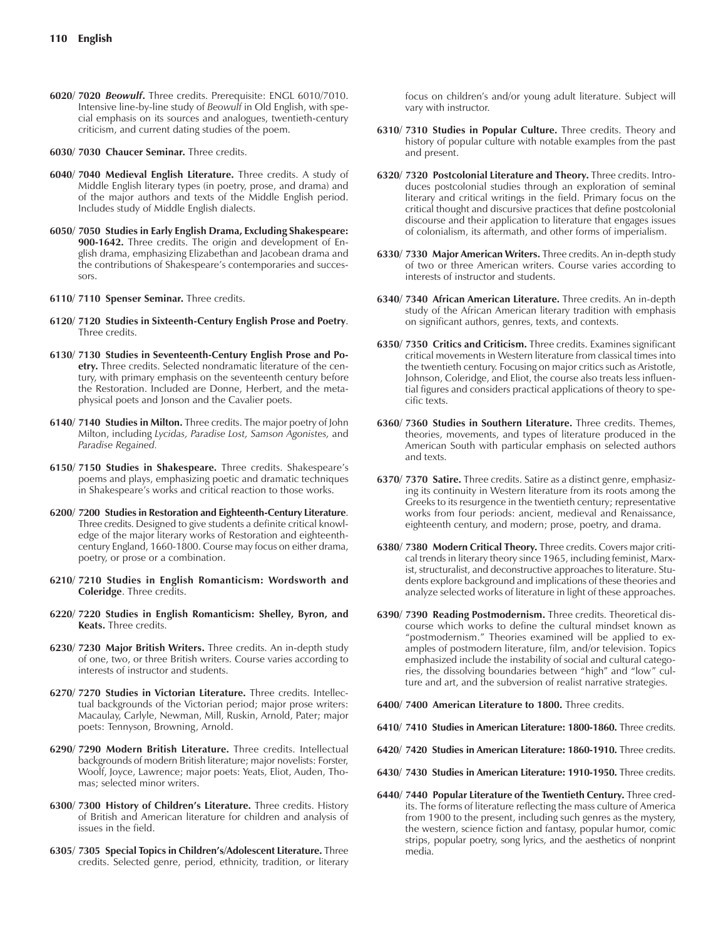- **6020/ 7020** *Beowulf***.** Three credits. Prerequisite: ENGL 6010/7010. Intensive line-by-line study of *Beowulf* in Old English, with special emphasis on its sources and analogues, twentieth-century criticism, and current dating studies of the poem.
- **6030/ 7030 Chaucer Seminar.** Three credits.
- **6040/ 7040 Medieval English Literature.** Three credits. A study of Middle English literary types (in poetry, prose, and drama) and of the major authors and texts of the Middle English period. Includes study of Middle English dialects.
- **6050/ 7050 Studies in Early English Drama, Excluding Shakespeare: 900-1642.** Three credits. The origin and development of English drama, emphasizing Elizabethan and Jacobean drama and the contributions of Shakespeare's contemporaries and successors.
- **6110/ 7110 Spenser Seminar.** Three credits.
- **6120/ 7120 Studies in Sixteenth-Century English Prose and Poetry**. Three credits.
- **6130/ 7130 Studies in Seventeenth-Century English Prose and Poetry.** Three credits. Selected nondramatic literature of the century, with primary emphasis on the seventeenth century before the Restoration. Included are Donne, Herbert, and the metaphysical poets and Jonson and the Cavalier poets.
- **6140/ 7140 Studies in Milton.** Three credits. The major poetry of John Milton, including *Lycidas, Paradise Lost, Samson Agonistes,* and *Paradise Regained.*
- 6150/ 7150 Studies in Shakespeare. Three credits. Shakespeare's poems and plays, emphasizing poetic and dramatic techniques in Shakespeare's works and critical reaction to those works.
- **6200/ 7200 Studies in Restoration and Eighteenth-Century Literature**. Three credits. Designed to give students a definite critical knowledge of the major literary works of Restoration and eighteenthcentury England, 1660-1800. Course may focus on either drama, poetry, or prose or a combination.
- **6210/ 7210 Studies in English Romanticism: Wordsworth and Coleridge**. Three credits.
- **6220/ 7220 Studies in English Romanticism: Shelley, Byron, and Keats.** Three credits.
- **6230/ 7230 Major British Writers.** Three credits. An in-depth study of one, two, or three British writers. Course varies according to interests of instructor and students.
- **6270/ 7270 Studies in Victorian Literature.** Three credits. Intellectual backgrounds of the Victorian period; major prose writers: Macaulay, Carlyle, Newman, Mill, Ruskin, Arnold, Pater; major poets: Tennyson, Browning, Arnold.
- **6290/ 7290 Modern British Literature.** Three credits. Intellectual backgrounds of modern British literature; major novelists: Forster, Woolf, Joyce, Lawrence; major poets: Yeats, Eliot, Auden, Thomas; selected minor writers.
- 6300/ 7300 History of Children's Literature. Three credits. History of British and American literature for children and analysis of issues in the field.
- **6305/ 7305 Special Topics in Childrenís/Adolescent Literature.** Three credits. Selected genre, period, ethnicity, tradition, or literary

focus on children's and/or young adult literature. Subject will vary with instructor.

- **6310/ 7310 Studies in Popular Culture.** Three credits. Theory and history of popular culture with notable examples from the past and present.
- **6320/ 7320 Postcolonial Literature and Theory.** Three credits. Introduces postcolonial studies through an exploration of seminal literary and critical writings in the field. Primary focus on the critical thought and discursive practices that define postcolonial discourse and their application to literature that engages issues of colonialism, its aftermath, and other forms of imperialism.
- **6330/ 7330 Major American Writers.** Three credits. An in-depth study of two or three American writers. Course varies according to interests of instructor and students.
- **6340/ 7340 African American Literature.** Three credits. An in-depth study of the African American literary tradition with emphasis on significant authors, genres, texts, and contexts.
- **6350/ 7350 Critics and Criticism.** Three credits. Examines significant critical movements in Western literature from classical times into the twentieth century. Focusing on major critics such as Aristotle, Johnson, Coleridge, and Eliot, the course also treats less influential figures and considers practical applications of theory to specific texts.
- **6360/ 7360 Studies in Southern Literature.** Three credits. Themes, theories, movements, and types of literature produced in the American South with particular emphasis on selected authors and texts.
- **6370/ 7370 Satire.** Three credits. Satire as a distinct genre, emphasizing its continuity in Western literature from its roots among the Greeks to its resurgence in the twentieth century; representative works from four periods: ancient, medieval and Renaissance, eighteenth century, and modern; prose, poetry, and drama.
- **6380/ 7380 Modern Critical Theory.** Three credits. Covers major critical trends in literary theory since 1965, including feminist, Marxist, structuralist, and deconstructive approaches to literature. Students explore background and implications of these theories and analyze selected works of literature in light of these approaches.
- **6390/ 7390 Reading Postmodernism.** Three credits. Theoretical discourse which works to define the cultural mindset known as "postmodernism." Theories examined will be applied to examples of postmodern literature, film, and/or television. Topics emphasized include the instability of social and cultural categories, the dissolving boundaries between "high" and "low" culture and art, and the subversion of realist narrative strategies.
- **6400/ 7400 American Literature to 1800.** Three credits.
- **6410/ 7410 Studies in American Literature: 1800-1860.** Three credits.
- **6420/ 7420 Studies in American Literature: 1860-1910.** Three credits.
- **6430/ 7430 Studies in American Literature: 1910-1950.** Three credits.
- **6440/ 7440 Popular Literature of the Twentieth Century.** Three credits. The forms of literature reflecting the mass culture of America from 1900 to the present, including such genres as the mystery, the western, science fiction and fantasy, popular humor, comic strips, popular poetry, song lyrics, and the aesthetics of nonprint media.